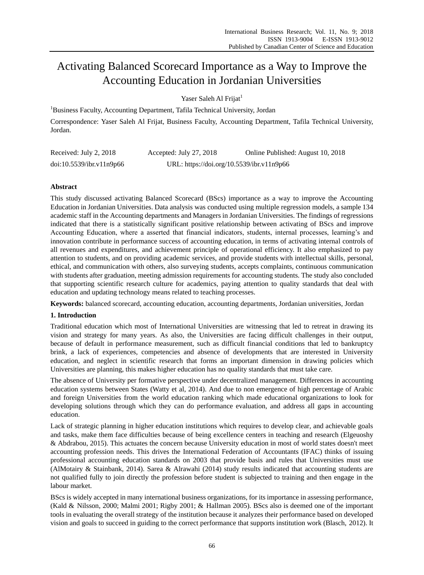# Activating Balanced Scorecard Importance as a Way to Improve the Accounting Education in Jordanian Universities

Yaser Saleh Al Frijat<sup>1</sup>

<sup>1</sup>Business Faculty, Accounting Department, Tafila Technical University, Jordan

Correspondence: Yaser Saleh Al Frijat, Business Faculty, Accounting Department, Tafila Technical University, Jordan.

| Received: July 2, 2018   | Accepted: July 27, 2018                   | Online Published: August 10, 2018 |
|--------------------------|-------------------------------------------|-----------------------------------|
| doi:10.5539/ibr.v11n9p66 | URL: https://doi.org/10.5539/ibr.v11n9p66 |                                   |

# **Abstract**

This study discussed activating Balanced Scorecard (BScs) importance as a way to improve the Accounting Education in Jordanian Universities. Data analysis was conducted using multiple regression models, a sample 134 academic staff in the Accounting departments and Managers in Jordanian Universities. The findings of regressions indicated that there is a statistically significant positive relationship between activating of BScs and improve Accounting Education, where a asserted that financial indicators, students, internal processes, learning's and innovation contribute in performance success of accounting education, in terms of activating internal controls of all revenues and expenditures, and achievement principle of operational efficiency. It also emphasized to pay attention to students, and on providing academic services, and provide students with intellectual skills, personal, ethical, and communication with others, also surveying students, accepts complaints, continuous communication with students after graduation, meeting admission requirements for accounting students. The study also concluded that supporting scientific research culture for academics, paying attention to quality standards that deal with education and updating technology means related to teaching processes.

**Keywords:** balanced scorecard, accounting education, accounting departments, Jordanian universities, Jordan

# **1. Introduction**

Traditional education which most of International Universities are witnessing that led to retreat in drawing its vision and strategy for many years. As also, the Universities are facing difficult challenges in their output, because of default in performance measurement, such as difficult financial conditions that led to bankruptcy brink, a lack of experiences, competencies and absence of developments that are interested in University education, and neglect in scientific research that forms an important dimension in drawing policies which Universities are planning, this makes higher education has no quality standards that must take care*.*

The absence of University per formative perspective under decentralized management. Differences in accounting education systems between States (Watty et al, 2014). And due to non emergence of high percentage of Arabic and foreign Universities from the world education ranking which made educational organizations to look for developing solutions through which they can do performance evaluation, and address all gaps in accounting education.

Lack of strategic planning in higher education institutions which requires to develop clear, and achievable goals and tasks, make them face difficulties because of being excellence centers in teaching and research (Elgeuoshy & Abdrabou, 2015). This actuates the concern because University education in most of world states doesn't meet accounting profession needs. This drives the International Federation of Accountants (IFAC) thinks of issuing professional accounting education standards on 2003 that provide basis and rules that Universities must use (AlMotairy & Stainbank, 2014). Sarea & Alrawahi (2014) study results indicated that accounting students are not qualified fully to join directly the profession before student is subjected to training and then engage in the labour market.

BScs is widely accepted in many international business organizations, for its importance in assessing performance, (Kald & Nilsson, 2000; Malmi 2001; Rigby 2001; & Hallman 2005). BScs also is deemed one of the important tools in evaluating the overall strategy of the institution because it analyzes their performance based on developed vision and goals to succeed in guiding to the correct performance that supports institution work (Blasch, 2012). It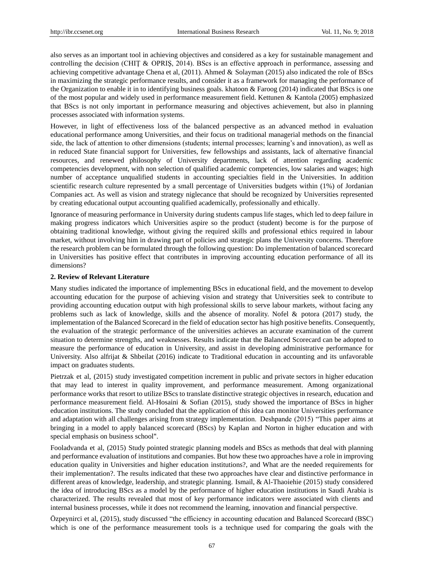also serves as an important tool in achieving objectives and considered as a key for sustainable management and controlling the decision (CHIŢ & OPRIŞ, 2014). BScs is an effective approach in performance, assessing and achieving competitive advantage Chena et al, (2011). Ahmed & Solayman (2015) also indicated the role of BScs in maximizing the strategic performance results, and consider it as a framework for managing the performance of the Organization to enable it in to identifying business goals. khatoon & Faroog (2014) indicated that BScs is one of the most popular and widely used in performance measurement field. Kettunen & Kantola (2005) emphasized that BScs is not only important in performance measuring and objectives achievement, but also in planning processes associated with information systems.

However, in light of effectiveness loss of the balanced perspective as an advanced method in evaluation educational performance among Universities, and their focus on traditional managerial methods on the financial side, the lack of attention to other dimensions (students; internal processes; learning's and innovation), as well as in reduced State financial support for Universities, few fellowships and assistants, lack of alternative financial resources, and renewed philosophy of University departments, lack of attention regarding academic competencies development, with non selection of qualified academic competencies, low salaries and wages; high number of acceptance unqualified students in accounting specialties field in the Universities. In addition scientific research culture represented by a small percentage of Universities budgets within (1%) of Jordanian Companies act. As well as vision and strategy niglecance that should be recognized by Universities represented by creating educational output accounting qualified academically, professionally and ethically.

Ignorance of measuring performance in University during students campus life stages, which led to deep failure in making progress indicators which Universities aspire so the product (student) become is for the purpose of obtaining traditional knowledge, without giving the required skills and professional ethics required in labour market, without involving him in drawing part of policies and strategic plans the University concerns. Therefore the research problem can be formulated through the following question: Do implementation of balanced scorecard in Universities has positive effect that contributes in improving accounting education performance of all its dimensions?

#### **2. Review of Relevant Literature**

Many studies indicated the importance of implementing BScs in educational field, and the movement to develop accounting education for the purpose of achieving vision and strategy that Universities seek to contribute to providing accounting education output with high professional skills to serve labour markets, without facing any problems such as lack of knowledge, skills and the absence of morality. Nofel & potora (2017) study, the implementation of the Balanced Scorecard in the field of education sector has high positive benefits. Consequently, the evaluation of the strategic performance of the universities achieves an accurate examination of the current situation to determine strengths, and weaknesses. Results indicate that the Balanced Scorecard can be adopted to measure the performance of education in University, and assist in developing administrative performance for University. Also alfrijat & Shbeilat (2016) indicate to Traditional education in accounting and its unfavorable impact on graduates students.

Pietrzak et al, (2015) study investigated competition increment in public and private sectors in higher education that may lead to interest in quality improvement, and performance measurement. Among organizational performance works that resort to utilize BScs to translate distinctive strategic objectives in research, education and performance measurement field. Al-Hosaini & Sofian (2015), study showed the importance of BScs in higher education institutions. The study concluded that the application of this idea can monitor Universities performance and adaptation with all challenges arising from strategy implementation. Deshpande (2015) "This paper aims at bringing in a model to apply balanced scorecard (BScs) by Kaplan and Norton in higher education and with special emphasis on business school".

Fooladvanda et al, (2015) Study pointed strategic planning models and BScs as methods that deal with planning and performance evaluation of institutions and companies. But how these two approaches have a role in improving education quality in Universities and higher education institutions?, and What are the needed requirements for their implementation?. The results indicated that these two approaches have clear and distinctive performance in different areas of knowledge, leadership, and strategic planning. [Ismail,](http://www.inderscienceonline.com/author/Ismail%2C+Tariq+H) & [Al-Thaoiehie](http://www.inderscienceonline.com/author/Al-Thaoiehie%2C+Mansour) (2015) study considered the idea of introducing BScs as a model by the performance of higher education institutions in Saudi Arabia is characterized. The results revealed that most of key performance indicators were associated with clients and internal business processes, while it does not recommend the learning, innovation and financial perspective.

Özpeynirci et al, (2015), study discussed "the efficiency in accounting education and Balanced Scorecard (BSC) which is one of the performance measurement tools is a technique used for comparing the goals with the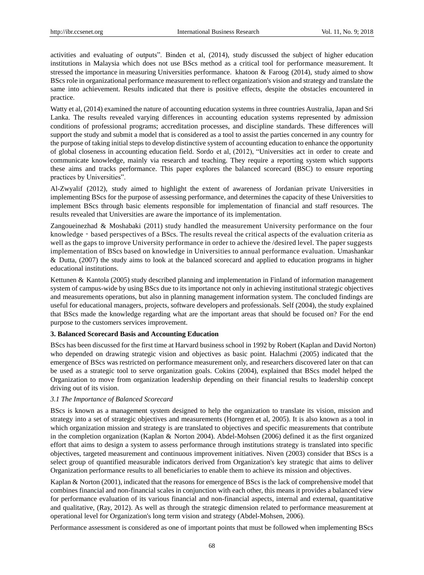activities and evaluating of outputs". Binden et al, (2014), study discussed the subject of higher education institutions in Malaysia which does not use BScs method as a critical tool for performance measurement. It stressed the importance in measuring Universities performance. khatoon & Faroog (2014), study aimed to show BScs role in organizational performance measurement to reflect organization's vision and strategy and translate the same into achievement. Results indicated that there is positive effects, despite the obstacles encountered in practice.

Watty et al, (2014) examined the nature of accounting education systems in three countries Australia, Japan and Sri Lanka. The results revealed varying differences in accounting education systems represented by admission conditions of professional programs; accreditation processes, and discipline standards. These differences will support the study and submit a model that is considered as a tool to assist the parties concerned in any country for the purpose of taking initial steps to develop distinctive system of accounting education to enhance the opportunity of global closeness in accounting education field. Sordo et al, (2012), "Universities act in order to create and communicate knowledge, mainly via research and teaching. They require a reporting system which supports these aims and tracks performance. This paper explores the balanced scorecard (BSC) to ensure reporting practices by Universities".

Al-Zwyalif (2012), study aimed to highlight the extent of awareness of Jordanian private Universities in implementing BScs for the purpose of assessing performance, and determines the capacity of these Universities to implement BScs through basic elements responsible for implementation of financial and staff resources. The results revealed that Universities are aware the importance of its implementation.

Zangoueinezhad & Moshabaki (2011) study handled the measurement University performance on the four knowledge - based perspectives of a BScs. The results reveal the critical aspects of the evaluation criteria as well as the gaps to improve University performance in order to achieve the /desired level. The paper suggests implementation of BScs based on knowledge in Universities to annual performance evaluation. Umashankar & Dutta, (2007) the study aims to look at the balanced scorecard and applied to education programs in higher educational institutions.

Kettunen & Kantola (2005) study described planning and implementation in Finland of information management system of campus-wide by using BScs due to its importance not only in achieving institutional strategic objectives and measurements operations, but also in planning management information system. The concluded findings are useful for educational managers, projects, software developers and professionals. Self (2004), the study explained that BScs made the knowledge regarding what are the important areas that should be focused on? For the end purpose to the customers services improvement.

# **3. Balanced Scorecard Basis and Accounting Education**

BScs has been discussed for the first time at Harvard business school in 1992 by Robert (Kaplan and David Norton) who depended on drawing strategic vision and objectives as basic point. Halachmi (2005) indicated that the emergence of BScs was restricted on performance measurement only, and researchers discovered later on that can be used as a strategic tool to serve organization goals. Cokins (2004), explained that BScs model helped the Organization to move from organization leadership depending on their financial results to leadership concept driving out of its vision.

#### *3.1 The Importance of Balanced Scorecard*

BScs is known as a management system designed to help the organization to translate its vision, mission and strategy into a set of strategic objectives and measurements (Horngren et al, 2005). It is also known as a tool in which organization mission and strategy is are translated to objectives and specific measurements that contribute in the completion organization (Kaplan & Norton 2004). Abdel-Mohsen (2006) defined it as the first organized effort that aims to design a system to assess performance through institutions strategy is translated into specific objectives, targeted measurement and continuous improvement initiatives. Niven (2003) consider that BScs is a select group of quantified measurable indicators derived from Organization's key strategic that aims to deliver Organization performance results to all beneficiaries to enable them to achieve its mission and objectives.

Kaplan & Norton (2001), indicated that the reasons for emergence of BScs is the lack of comprehensive model that combines financial and non-financial scales in conjunction with each other, this means it provides a balanced view for performance evaluation of its various financial and non-financial aspects, internal and external, quantitative and qualitative, (Ray, 2012). As well as through the strategic dimension related to performance measurement at operational level for Organization's long term vision and strategy (Abdel-Mohsen, 2006).

Performance assessment is considered as one of important points that must be followed when implementing BScs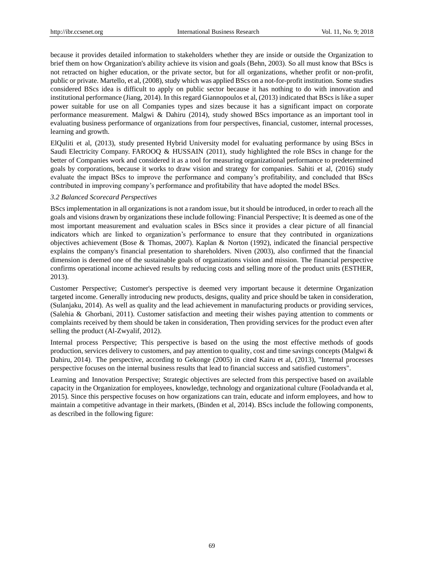because it provides detailed information to stakeholders whether they are inside or outside the Organization to brief them on how Organization's ability achieve its vision and goals (Behn, 2003). So all must know that BScs is not retracted on higher education, or the private sector, but for all organizations, whether profit or non-profit, public or private. Martello, et al, (2008), study which was applied BScs on a not-for-profit institution. Some studies considered BScs idea is difficult to apply on public sector because it has nothing to do with innovation and institutional performance (Jiang, 2014). In this regard Giannopoulos et al, (2013) indicated that BScs is like a super power suitable for use on all Companies types and sizes because it has a significant impact on corporate performance measurement. Malgwi & Dahiru (2014), study showed BScs importance as an important tool in evaluating business performance of organizations from four perspectives, financial, customer, internal processes, learning and growth.

ElQuliti et al, (2013), study presented Hybrid University model for evaluating performance by using BScs in Saudi Electricity Company. FAROOQ & HUSSAIN (2011), study highlighted the role BScs in change for the better of Companies work and considered it as a tool for measuring organizational performance to predetermined goals by corporations, because it works to draw vision and strategy for companies. Sahiti et al, (2016) study evaluate the impact BScs to improve the performance and company's profitability, and concluded that BScs contributed in improving company's performance and profitability that have adopted the model BScs.

#### *3.2 Balanced Scorecard Perspectives*

BScs implementation in all organizations is not a random issue, but it should be introduced, in order to reach all the goals and visions drawn by organizations these include following: Financial Perspective; It is deemed as one of the most important measurement and evaluation scales in BScs since it provides a clear picture of all financial indicators which are linked to organization's performance to ensure that they contributed in organizations objectives achievement (Bose & Thomas, 2007). Kaplan & Norton (1992), indicated the financial perspective explains the company's financial presentation to shareholders. Niven (2003), also confirmed that the financial dimension is deemed one of the sustainable goals of organizations vision and mission. The financial perspective confirms operational income achieved results by reducing costs and selling more of the product units (ESTHER, 2013).

Customer Perspective; Customer's perspective is deemed very important because it determine Organization targeted income. Generally introducing new products, designs, quality and price should be taken in consideration, (Sulanjaku, 2014). As well as quality and the lead achievement in manufacturing products or providing services, (Salehia & Ghorbani, 2011). Customer satisfaction and meeting their wishes paying attention to comments or complaints received by them should be taken in consideration, Then providing services for the product even after selling the product (Al-Zwyalif, 2012).

Internal process Perspective; This perspective is based on the using the most effective methods of goods production, services delivery to customers, and pay attention to quality, cost and time savings concepts (Malgwi  $\&$ Dahiru, 2014). The perspective, according to Gekonge (2005) in cited Kairu et al, (2013), "Internal processes perspective focuses on the internal business results that lead to financial success and satisfied customers".

Learning and Innovation Perspective; Strategic objectives are selected from this perspective based on available capacity in the Organization for employees, knowledge, technology and organizational culture (Fooladvanda et al, 2015). Since this perspective focuses on how organizations can train, educate and inform employees, and how to maintain a competitive advantage in their markets, (Binden et al, 2014). BScs include the following components, as described in the following figure: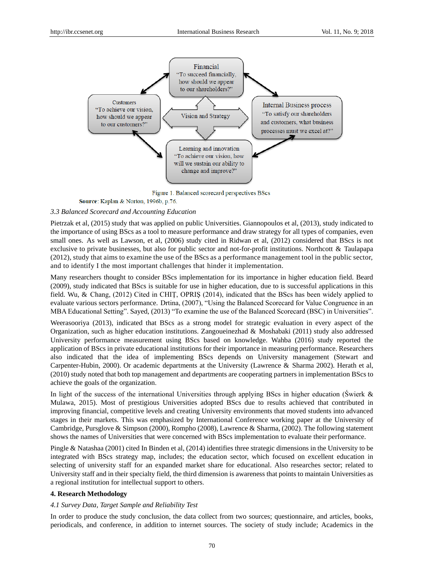

Figure 1. Balanced scorecard perspectives BScs

# Source: Kaplan & Norton, 1996b, p.76.

#### *3.3 Balanced Scorecard and Accounting Education*

Pietrzak et al, (2015) study that was applied on public Universities. Giannopoulos et al, (2013), study indicated to the importance of using BScs as a tool to measure performance and draw strategy for all types of companies, even small ones. As well as Lawson, et al, (2006) study cited in Ridwan et al, (2012) considered that BScs is not exclusive to private businesses, but also for public sector and not-for-profit institutions. Northcott & Taulapapa (2012), study that aims to examine the use of the BScs as a performance management tool in the public sector, and to identify I the most important challenges that hinder it implementation.

Many researchers thought to consider BScs implementation for its importance in higher education field. Beard (2009), study indicated that BScs is suitable for use in higher education, due to is successful applications in this field. Wu, & Chang, (2012) Cited in CHIŢ, OPRIŞ (2014), indicated that the BScs has been widely applied to evaluate various sectors performance. Drtina, (2007), "Using the Balanced Scorecard for Value Congruence in an MBA Educational Setting". Sayed, (2013) "To examine the use of the Balanced Scorecard (BSC) in Universities".

Weerasooriya (2013), indicated that BScs as a strong model for strategic evaluation in every aspect of the Organization, such as higher education institutions. Zangoueinezhad & Moshabaki (2011) study also addressed University performance measurement using BScs based on knowledge. Wahba (2016) study reported the application of BScs in private educational institutions for their importance in measuring performance. Researchers also indicated that the idea of implementing BScs depends on University management (Stewart and Carpenter-Hubin, 2000). Or academic departments at the University (Lawrence & Sharma 2002). Herath et al, (2010) study noted that both top management and departments are cooperating partners in implementation BScs to achieve the goals of the organization.

In light of the success of the international Universities through applying BScs in higher education (Świerk & Mulawa, 2015). Most of prestigious Universities adopted BScs due to results achieved that contributed in improving financial, competitive levels and creating University environments that moved students into advanced stages in their markets. This was emphasized by International Conference working paper at the University of Cambridge, Pursglove & Simpson (2000), Rompho (2008), Lawrence & Sharma, (2002). The following statement shows the names of Universities that were concerned with BScs implementation to evaluate their performance.

Pingle & Natashaa (2001) cited In Binden et al, (2014) identifies three strategic dimensions in the University to be integrated with BScs strategy map, includes; the education sector, which focused on excellent education in selecting of university staff for an expanded market share for educational. Also researches sector; related to University staff and in their specialty field, the third dimension is awareness that points to maintain Universities as a regional institution for intellectual support to others.

# **4. Research Methodology**

# *4.1 Survey Data, Target Sample and Reliability Test*

In order to produce the study conclusion, the data collect from two sources; questionnaire, and articles, books, periodicals, and conference, in addition to internet sources. The society of study include; Academics in the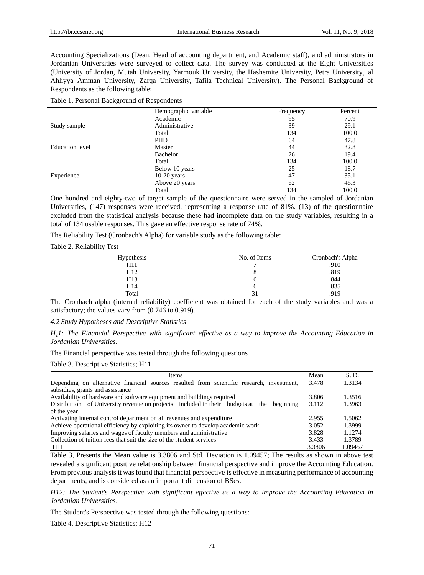Accounting Specializations (Dean, Head of accounting department, and Academic staff), and administrators in Jordanian Universities were surveyed to collect data. The survey was conducted at the Eight Universities (University of Jordan, Mutah University, Yarmouk University, the Hashemite University, Petra University, al Ahliyya Amman University, Zarqa University, Tafila Technical University). The Personal Background of Respondents as the following table:

Table 1. Personal Background of Respondents

|                        | Demographic variable | Frequency | Percent |
|------------------------|----------------------|-----------|---------|
|                        | Academic             | 95        | 70.9    |
| Study sample           | Administrative       | 39        | 29.1    |
|                        | Total                | 134       | 100.0   |
|                        | <b>PHD</b>           | 64        | 47.8    |
| <b>Education</b> level | Master               | 44        | 32.8    |
|                        | <b>Bachelor</b>      | 26        | 19.4    |
|                        | Total                | 134       | 100.0   |
|                        | Below 10 years       | 25        | 18.7    |
| Experience             | $10-20$ years        | 47        | 35.1    |
|                        | Above 20 years       | 62        | 46.3    |
|                        | Total                | 134       | 100.0   |

One hundred and eighty-two of target sample of the questionnaire were served in the sampled of Jordanian Universities, (147) responses were received, representing a response rate of 81%. (13) of the questionnaire excluded from the statistical analysis because these had incomplete data on the study variables, resulting in a total of 134 usable responses. This gave an effective response rate of 74%.

The Reliability Test (Cronbach's Alpha) for variable study as the following table:

#### Table 2. Reliability Test

| <b>Hypothesis</b> | No. of Items | Cronbach's Alpha |
|-------------------|--------------|------------------|
| H11               |              | .910             |
| H <sub>12</sub>   |              | .819             |
| H13               |              | .844             |
| H <sub>14</sub>   |              | .835             |
| Total             |              | .919             |
|                   |              |                  |

The Cronbach alpha (internal reliability) coefficient was obtained for each of the study variables and was a satisfactory; the values vary from (0.746 to 0.919).

*4.2 Study Hypotheses and Descriptive Statistics* 

*H11: The Financial Perspective with significant effective as a way to improve the Accounting Education in Jordanian Universities*.

The Financial perspective was tested through the following questions

Table 3. Descriptive Statistics; H11

| Items                                                                                     | Mean   | S.D.    |
|-------------------------------------------------------------------------------------------|--------|---------|
| Depending on alternative financial sources resulted from scientific research, investment, | 3.478  | 1.3134  |
| subsidies, grants and assistance                                                          |        |         |
| Availability of hardware and software equipment and buildings required                    | 3.806  | 1.3516  |
| Distribution of University revenue on projects included in their budgets at the beginning |        | 1.3963  |
| of the year                                                                               |        |         |
| Activating internal control department on all revenues and expenditure                    | 2.955  | 1.5062  |
| Achieve operational efficiency by exploiting its owner to develop academic work.          |        | 1.3999  |
| Improving salaries and wages of faculty members and administrative                        |        | 1.1274  |
| Collection of tuition fees that suit the size of the student services                     | 3.433  | 1.3789  |
| H11                                                                                       | 3.3806 | 1.09457 |

Table 3, Presents the Mean value is 3.3806 and Std. Deviation is 1.09457; The results as shown in above test revealed a significant positive relationship between financial perspective and improve the Accounting Education. From previous analysis it was found that financial perspective is effective in measuring performance of accounting departments, and is considered as an important dimension of BScs.

*H12: The Student's Perspective with significant effective as a way to improve the Accounting Education in Jordanian Universities*.

The Student's Perspective was tested through the following questions:

Table 4. Descriptive Statistics; H12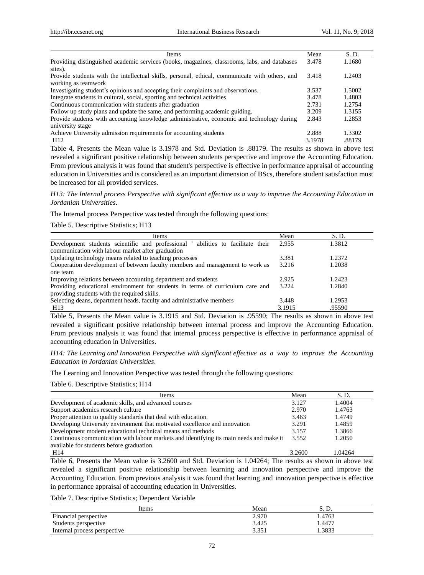| Items                                                                                                                 | Mean   | S.D.   |
|-----------------------------------------------------------------------------------------------------------------------|--------|--------|
| Providing distinguished academic services (books, magazines, classrooms, labs, and databases<br>sites).               | 3.478  | 1.1680 |
| Provide students with the intellectual skills, personal, ethical, communicate with others, and<br>working as teamwork | 3.418  | 1.2403 |
| Investigating student's opinions and accepting their complaints and observations.                                     | 3.537  | 1.5002 |
| Integrate students in cultural, social, sporting and technical activities                                             | 3.478  | 1.4803 |
| Continuous communication with students after graduation                                                               | 2.731  | 1.2754 |
| Follow up study plans and update the same, and performing academic guiding.                                           | 3.209  | 1.3155 |
| Provide students with accounting knowledge ,administrative, economic and technology during<br>university stage        | 2.843  | 1.2853 |
| Achieve University admission requirements for accounting students                                                     | 2.888  | 1.3302 |
| H <sub>12</sub>                                                                                                       | 3.1978 | .88179 |

Table 4, Presents the Mean value is 3.1978 and Std. Deviation is .88179. The results as shown in above test revealed a significant positive relationship between students perspective and improve the Accounting Education. From previous analysis it was found that student's perspective is effective in performance appraisal of accounting education in Universities and is considered as an important dimension of BScs, therefore student satisfaction must be increased for all provided services.

*H13: The Internal process Perspective with significant effective as a way to improve the Accounting Education in Jordanian Universities*.

#### The Internal process Perspective was tested through the following questions:

Table 5. Descriptive Statistics; H13

| Items                                                                                | Mean   | S.D.   |
|--------------------------------------------------------------------------------------|--------|--------|
| Development students scientific and professional<br>abilities to<br>facilitate their | 2.955  | 1.3812 |
| communication with labour market after graduation                                    |        |        |
| Updating technology means related to teaching processes                              | 3.381  | 1.2372 |
| Cooperation development of between faculty members and management to work as         |        | 1.2038 |
| one team                                                                             |        |        |
| Improving relations between accounting department and students                       | 2.925  | 1.2423 |
| Providing educational environment for students in terms of curriculum care and       |        | 1.2840 |
| providing students with the required skills.                                         |        |        |
| Selecting deans, department heads, faculty and administrative members                | 3.448  | 1.2953 |
| H13                                                                                  | 3.1915 | .95590 |

Table 5, Presents the Mean value is 3.1915 and Std. Deviation is .95590; The results as shown in above test revealed a significant positive relationship between internal process and improve the Accounting Education. From previous analysis it was found that internal process perspective is effective in performance appraisal of accounting education in Universities.

*H14: The Learning and Innovation Perspective with significant effective as a way to improve the Accounting Education in Jordanian Universities*.

The Learning and Innovation Perspective was tested through the following questions:

Table 6. Descriptive Statistics; H14

| Items                                                                                   | Mean   | S.D.    |
|-----------------------------------------------------------------------------------------|--------|---------|
| Development of academic skills, and advanced courses                                    | 3.127  | 1.4004  |
| Support academics research culture                                                      | 2.970  | 1.4763  |
| Proper attention to quality standards that deal with education.                         | 3.463  | 1.4749  |
| Developing University environment that motivated excellence and innovation              | 3.291  | 1.4859  |
| Development modern educational technical means and methods                              | 3.157  | 1.3866  |
| Continuous communication with labour markets and identifying its main needs and make it | 3.552  | 1.2050  |
| available for students before graduation.                                               |        |         |
| H14                                                                                     | 3.2600 | 1.04264 |

Table 6, Presents the Mean value is 3.2600 and Std. Deviation is 1.04264; The results as shown in above test revealed a significant positive relationship between learning and innovation perspective and improve the Accounting Education. From previous analysis it was found that learning and innovation perspective is effective in performance appraisal of accounting education in Universities.

Table 7. Descriptive Statistics; Dependent Variable

| Items                        | Mean  | S.D.  |
|------------------------------|-------|-------|
| Financial perspective        | 2.970 | .4763 |
| Students perspective         | 3.425 | .4477 |
| Internal process perspective | 3.351 | .3833 |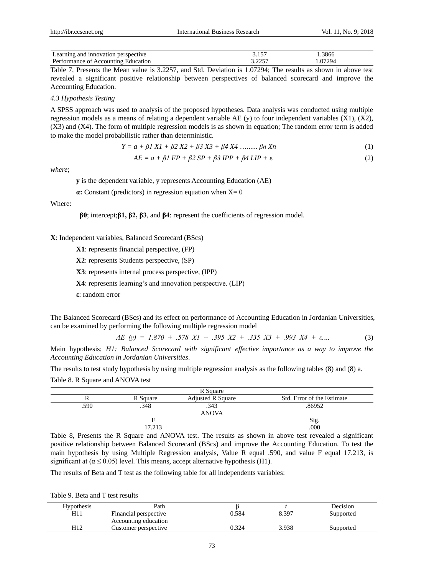| $\alpha$<br>'ation<br>nΑ<br>c                       | $\overline{a}$<br>J. I.J                  | 3866 |  |
|-----------------------------------------------------|-------------------------------------------|------|--|
| ducation<br>ountin.<br>വ<br>ormance<br>$\mathbf{u}$ | $\Delta \Delta \Gamma$<br><i>ت سایت د</i> | ∍ഴച  |  |

Table 7, Presents the Mean value is 3.2257, and Std. Deviation is 1.07294; The results as shown in above test revealed a significant positive relationship between perspectives of balanced scorecard and improve the Accounting Education.

# *4.3 Hypothesis Testing*

A SPSS approach was used to analysis of the proposed hypotheses. Data analysis was conducted using multiple regression models as a means of relating a dependent variable AE (y) to four independent variables (X1), (X2), (X3) and (X4). The form of multiple regression models is as shown in equation; The random error term is added to make the model probabilistic rather than deterministic.

$$
Y = a + \beta I XI + \beta 2 X2 + \beta 3 X3 + \beta 4 X4 \dots \dots \beta n Xn \tag{1}
$$

$$
AE = a + \beta I \ FP + \beta 2 \ SP + \beta 3 \ IPP + \beta 4 \ LIP + \varepsilon \tag{2}
$$

*where*;

**y** is the dependent variable, y represents Accounting Education (AE)

**α:** Constant (predictors) in regression equation when X= 0

#### Where:

**β0**; intercept;**β1, β2, β3**, and **β4**: represent the coefficients of regression model.

#### **X**: Independent variables, Balanced Scorecard (BScs)

**X1**: represents financial perspective, (FP)

**X2**: represents Students perspective, (SP)

- **X3**: represents internal process perspective, (IPP)
- **X4**: represents learning's and innovation perspective. (LIP)

**ε**: random error

The Balanced Scorecard (BScs) and its effect on performance of Accounting Education in Jordanian Universities, can be examined by performing the following multiple regression model

$$
AE(y) = 1.870 + .578 \; XI + .395 \; X2 + .335 \; X3 + .993 \; X4 + \varepsilon \ldots \tag{3}
$$

Main hypothesis; *H1: Balanced Scorecard with significant effective importance as a way to improve the Accounting Education in Jordanian Universities*.

The results to test study hypothesis by using multiple regression analysis as the following tables (8) and (8) a.

Table 8. R Square and ANOVA test

| <b>Adjusted R Square</b><br>Std. Error of the Estimate<br>R Square<br>.348<br>.590<br>.343<br>.86952 |  |
|------------------------------------------------------------------------------------------------------|--|
|                                                                                                      |  |
|                                                                                                      |  |
| <b>ANOVA</b>                                                                                         |  |
|                                                                                                      |  |
| Sig.<br>.000<br>17.213                                                                               |  |

Table 8, Presents the R Square and ANOVA test. The results as shown in above test revealed a significant positive relationship between Balanced Scorecard (BScs) and improve the Accounting Education. To test the main hypothesis by using Multiple Regression analysis, Value R equal .590, and value F equal 17.213, is significant at ( $\alpha \le 0.05$ ) level. This means, accept alternative hypothesis (H1).

The results of Beta and T test as the following table for all independents variables:

Table 9. Beta and T test results

| <b>Hypothesis</b> | Path                  |       |       | Decision  |
|-------------------|-----------------------|-------|-------|-----------|
| H11               | Financial perspective | 0.584 | 8.397 | Supported |
|                   | Accounting education  |       |       |           |
| H12               | Customer perspective  | 0.324 | 3.938 | Supported |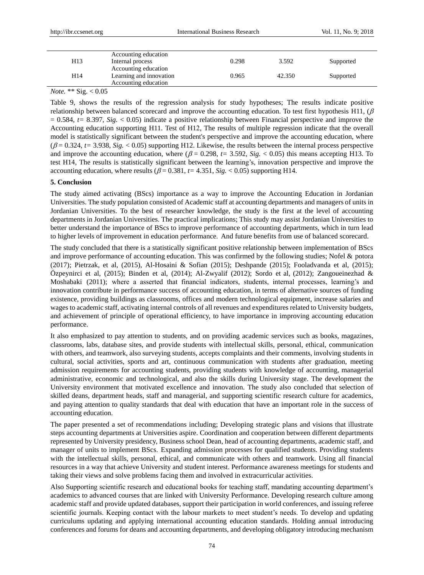|                 | Accounting education    |       |        |           |
|-----------------|-------------------------|-------|--------|-----------|
| H <sub>13</sub> | Internal process        | 0.298 | 3.592  | Supported |
|                 | Accounting education    |       |        |           |
| H <sub>14</sub> | Learning and innovation | 0.965 | 42.350 | Supported |
|                 | Accounting education    |       |        |           |

*Note.* \*\* Sig. < 0.05

Table 9, shows the results of the regression analysis for study hypotheses; The results indicate positive relationship between balanced scorecard and improve the accounting education. To test first hypothesis H11,  $(\beta$ = 0.584, *t=* 8.397, *Sig.* < 0.05) indicate a positive relationship between Financial perspective and improve the Accounting education supporting H11. Test of H12, The results of multiple regression indicate that the overall model is statistically significant between the student's perspective and improve the accounting education, where  $(\beta = 0.324, t = 3.938, Sig. < 0.05)$  supporting H12. Likewise, the results between the internal process perspective and improve the accounting education, where  $(\beta = 0.298, t = 3.592, Sig. < 0.05)$  this means accepting H13. To test H14, The results is statistically significant between the learning's, innovation perspective and improve the accounting education, where results ( $\beta$  = 0.381,  $t$  = 4.351, *Sig.* < 0.05) supporting H14.

#### **5. Conclusion**

The study aimed activating (BScs) importance as a way to improve the Accounting Education in Jordanian Universities. The study population consisted of Academic staff at accounting departments and managers of units in Jordanian Universities. To the best of researcher knowledge, the study is the first at the level of accounting departments in Jordanian Universities. The practical implications; This study may assist Jordanian Universities to better understand the importance of BScs to improve performance of accounting departments, which in turn lead to higher levels of improvement in education performance. And future benefits from use of balanced scorecard.

The study concluded that there is a statistically significant positive relationship between implementation of BScs and improve performance of accounting education. This was confirmed by the following studies; Nofel & potora (2017); Pietrzak, et al, (2015), Al-Hosaini & Sofian (2015); Deshpande (2015); Fooladvanda et al, (2015); Özpeynirci et al, (2015); Binden et al, (2014); Al-Zwyalif (2012); Sordo et al, (2012); Zangoueinezhad & Moshabaki (2011); where a asserted that financial indicators, students, internal processes, learning's and innovation contribute in performance success of accounting education, in terms of alternative sources of funding existence, providing buildings as classrooms, offices and modern technological equipment, increase salaries and wages to academic staff, activating internal controls of all revenues and expenditures related to University budgets, and achievement of principle of operational efficiency, to have importance in improving accounting education performance.

It also emphasized to pay attention to students, and on providing academic services such as books, magazines, classrooms, labs, database sites, and provide students with intellectual skills, personal, ethical, communication with others, and teamwork, also surveying students, accepts complaints and their comments, involving students in cultural, social activities, sports and art, continuous communication with students after graduation, meeting admission requirements for accounting students, providing students with knowledge of accounting, managerial administrative, economic and technological, and also the skills during University stage. The development the University environment that motivated excellence and innovation. The study also concluded that selection of skilled deans, department heads, staff and managerial, and supporting scientific research culture for academics, and paying attention to quality standards that deal with education that have an important role in the success of accounting education.

The paper presented a set of recommendations including; Developing strategic plans and visions that illustrate steps accounting departments at Universities aspire. Coordination and cooperation between different departments represented by University presidency, Business school Dean, head of accounting departments, academic staff, and manager of units to implement BScs. Expanding admission processes for qualified students. Providing students with the intellectual skills, personal, ethical, and communicate with others and teamwork. Using all financial resources in a way that achieve University and student interest. Performance awareness meetings for students and taking their views and solve problems facing them and involved in extracurricular activities.

Also Supporting scientific research and educational books for teaching staff, mandating accounting department's academics to advanced courses that are linked with University Performance. Developing research culture among academic staff and provide updated databases, support their participation in world conferences, and issuing referee scientific journals. Keeping contact with the labour markets to meet student's needs. To develop and updating curriculums updating and applying international accounting education standards. Holding annual introducing conferences and forums for deans and accounting departments, and developing obligatory introducing mechanism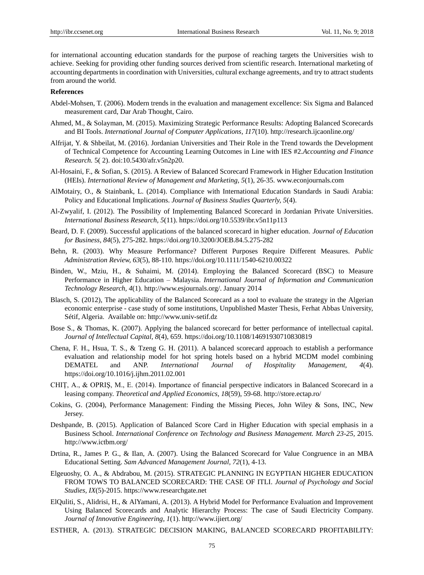for international accounting education standards for the purpose of reaching targets the Universities wish to achieve. Seeking for providing other funding sources derived from scientific research. International marketing of accounting departments in coordination with Universities, cultural exchange agreements, and try to attract students from around the world.

#### **References**

- Abdel-Mohsen, T. (2006). Modern trends in the evaluation and management excellence: Six Sigma and Balanced measurement card, Dar Arab Thought, Cairo.
- Ahmed, M., & Solayman, M. (2015). Maximizing Strategic Performance Results: Adopting Balanced Scorecards and BI Tools. *International Journal of Computer Applications, 117*(10).<http://research.ijcaonline.org/>
- Alfrijat, Y. & Shbeilat, M. (2016). Jordanian Universities and Their Role in the Trend towards the Development of Technical Competence for Accounting Learning Outcomes in Line with IES #2.*Accounting and Finance Research.* 5( 2). doi:10.5430/afr.v5n2p20.
- Al-Hosaini, F., & Sofian, S. (2015). A Review of Balanced Scorecard Framework in Higher Education Institution (HEIs). *International Review of Management and Marketing, 5*(1), 26-35. www.econjournals.com
- AlMotairy, O., & Stainbank, L. (2014). Compliance with International Education Standards in Saudi Arabia: Policy and Educational Implications. *Journal of Business Studies Quarterly, 5*(4).
- Al-Zwyalif, I. (2012). The Possibility of Implementing Balanced Scorecard in Jordanian Private Universities. *International Business Research, 5*(11). https://doi.org/10.5539/ibr.v5n11p113
- Beard, D. F. (2009). Successful applications of the balanced scorecard in higher education. *Journal of Education for Business, 84*(5), 275-282. https://doi.org/10.3200/JOEB.84.5.275-282
- Behn, R. (2003). Why Measure Performance? Different Purposes Require Different Measures. *Public Administration Review, 63*(5), 88-110. https://doi.org/10.1111/1540-6210.00322
- Binden, W., Mziu, H., & Suhaimi, M. (2014). Employing the Balanced Scorecard (BSC) to Measure Performance in Higher Education – Malaysia. *International Journal of Information and Communication Technology Research, 4*(1)[. http://www.esjournals.org/.](http://www.esjournals.org/) January 2014
- Blasch, S. (2012), The applicability of the Balanced Scorecard as a tool to evaluate the strategy in the Algerian economic enterprise - case study of some institutions, Unpublished Master Thesis, Ferhat Abbas University, Sétif, Algeria. Available on: http://www.univ-setif.dz
- Bose S., & Thomas, K. (2007). Applying the balanced scorecard for better performance of intellectual capital. *Journal of Intellectual Capital, 8*(4), 659. https://doi.org/10.1108/14691930710830819
- Chena, F. H., Hsua, T. S., & Tzeng G. H. (2011). A balanced scorecard approach to establish a performance evaluation and relationship model for hot spring hotels based on a hybrid MCDM model combining DEMATEL and ANP. *International Journal of Hospitality Management, 4*(4). https://doi.org/10.1016/j.ijhm.2011.02.001
- CHIŢ, A., & OPRIŞ, M., E. (2014). Importance of financial perspective indicators in Balanced Scorecard in a leasing company. *Theoretical and Applied Economics, 18*(59), 59-68[. http://store.ectap.ro/](http://store.ectap.ro/)
- Cokins, G. (2004), Performance Management: Finding the Missing Pieces, John Wiley & Sons, INC, New Jersey.
- Deshpande, B. (2015). Application of Balanced Score Card in Higher Education with special emphasis in a Business School. *International Conference on Technology and Business Management. March 23-25,* 2015. <http://www.ictbm.org/>
- Drtina, R., James P. G., & Ilan, A. (2007). Using the Balanced Scorecard for Value Congruence in an MBA Educational Setting. *Sam Advanced Management Journal, 72*(1), 4-13.
- Elgeuoshy, O. A., & Abdrabou, M. (2015). STRATEGIC PLANNING IN EGYPTIAN HIGHER EDUCATION FROM TOWS TO BALANCED SCORECARD: THE CASE OF ITLI. *Journal of Psychology and Social Studies, IX*(5)-2015. https://www.researchgate.net
- ElQuliti, S., Alidrisi, H., & AlYamani, A. (2013). A Hybrid Model for Performance Evaluation and Improvement Using Balanced Scorecards and Analytic Hierarchy Process: The case of Saudi Electricity Company. *Journal of Innovative Engineering, 1*(1)[. http://www.ijiert.org/](http://www.ijiert.org/)
- ESTHER, A. (2013). STRATEGIC DECISION MAKING, BALANCED SCORECARD PROFITABILITY: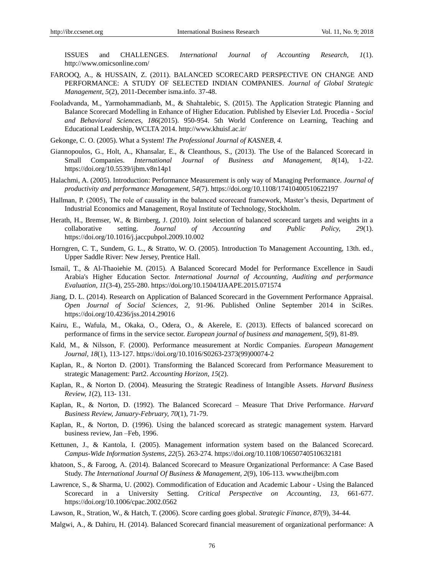ISSUES and CHALLENGES. *International Journal of Accounting Research, 1*(1). <http://www.omicsonline.com/>

- FAROOQ, A., & HUSSAIN, Z. (2011). BALANCED SCORECARD PERSPECTIVE ON CHANGE AND PERFORMANCE: A STUDY OF SELECTED INDIAN COMPANIES. *Journal of Global Strategic Management, 5*(2), 2011-December isma.info. 37-48.
- Fooladvanda, M., Yarmohammadianb, M., & Shahtalebic, S. (2015). The Application Strategic Planning and Balance Scorecard Modelling in Enhance of Higher Education. Published by Elsevier Ltd. Procedia - *Social and Behavioral Sciences, 186*(2015). 950-954. 5th World Conference on Learning, Teaching and Educational Leadership, WCLTA 2014.<http://www.khuisf.ac.ir/>
- Gekonge, C. O. (2005). What a System! *The Professional Journal of KASNEB, 4.*
- Giannopoulos, G., Holt, A., Khansalar, E., & Cleanthous, S., (2013). The Use of the Balanced Scorecard in Small Companies. *International Journal of Business and Management, 8*(14), 1-22. https://doi.org/10.5539/ijbm.v8n14p1
- Halachmi, A. (2005). Introduction: Performance Measurement is only way of Managing Performance. *Journal of productivity and performance Management, 54*(7). https://doi.org/10.1108/17410400510622197
- Hallman, P. (2005), The role of causality in the balanced scorecard framework, Master's thesis, Department of Industrial Economics and Management, Royal Institute of Technology, Stockholm.
- Herath, H., Bremser, W., & Birnberg, J. (2010). Joint selection of balanced scorecard targets and weights in a collaborative setting. *Journal of Accounting and Public Policy, 29*(1). https://doi.org/10.1016/j.jaccpubpol.2009.10.002
- Horngren, C. T., Sundem, G. L., & Stratto, W. O. (2005). Introduction To Management Accounting, 13th. ed., Upper Saddle River: New Jersey, Prentice Hall.
- [Ismail,](http://www.inderscienceonline.com/author/Ismail%2C+Tariq+H) T., & [Al-Thaoiehie](http://www.inderscienceonline.com/author/Al-Thaoiehie%2C+Mansour) M. (2015). A Balanced Scorecard Model for Performance Excellence in Saudi Arabia's Higher Education Sector. *International Journal of Accounting, Auditing and performance Evaluation, 11*(3-4), 255-280. https://doi.org/10.1504/IJAAPE.2015.071574
- Jiang, D. L. (2014). Research on Application of Balanced Scorecard in the Government Performance Appraisal. *Open Journal of Social Sciences, 2,* 91-96. Published Online September 2014 in SciRes. https://doi.org/10.4236/jss.2014.29016
- Kairu, E., Wafula, M., Okaka, O., Odera, O., & Akerele, E. (2013). Effects of balanced scorecard on performance of firms in the service sector. *European journal of business and management, 5*(9), 81-89.
- Kald, M., & Nilsson, F. (2000). Performance measurement at Nordic Companies. *European Management Journal, 18*(1), 113-127. https://doi.org/10.1016/S0263-2373(99)00074-2
- Kaplan, R., & Norton D. (2001). Transforming the Balanced Scorecard from Performance Measurement to strategic Management: Part2. *Accounting Horizon, 15*(2).
- Kaplan, R., & Norton D. (2004). Measuring the Strategic Readiness of Intangible Assets. *Harvard Business Review, 1*(2), 113- 131.
- Kaplan, R., & Norton, D. (1992). The Balanced Scorecard Measure That Drive Performance. *Harvard Business Review, January-February, 70*(1), 71-79.
- Kaplan, R., & Norton, D. (1996). Using the balanced scorecard as strategic management system. Harvard business review, Jan –Feb, 1996.
- Kettunen, J., & Kantola, I. (2005). Management information system based on the Balanced Scorecard. *Campus-Wide Information Systems, 22*(5). 263-274. https://doi.org/10.1108/10650740510632181
- khatoon, S., & Faroog, A. (2014). Balanced Scorecard to Measure Organizational Performance: A Case Based Study. *The International Journal Of Business & Management, 2*(9), 106-113. [www.theijbm.com](http://www.theijbm.com/)
- Lawrence, S., & Sharma, U. (2002). Commodification of Education and Academic Labour Using the Balanced Scorecard in a University Setting. *Critical Perspective on Accounting, 13,* 661-677. https://doi.org/10.1006/cpac.2002.0562
- Lawson, R., Stration, W., & Hatch, T. (2006). Score carding goes global. *Strategic Finance, 87*(9), 34-44.
- Malgwi, A., & Dahiru, H. (2014). Balanced Scorecard financial measurement of organizational performance: A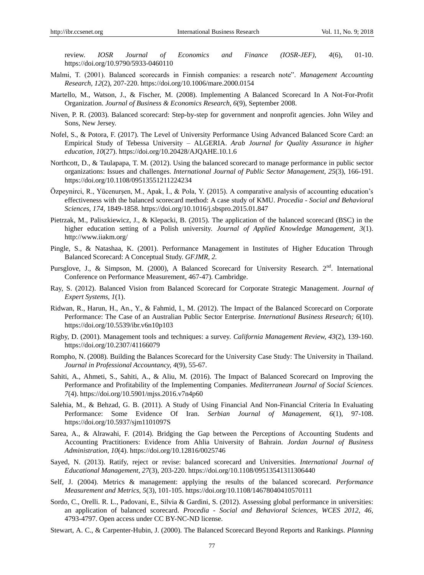review. *IOSR Journal of Economics and Finance (IOSR-JEF), 4*(6), 01-10. https://doi.org/10.9790/5933-0460110

- Malmi, T. (2001). Balanced scorecards in Finnish companies: a research note". *Management Accounting Research, 12*(2), 207-220. https://doi.org/10.1006/mare.2000.0154
- Martello, M., Watson, J., & Fischer, M. (2008). Implementing A Balanced Scorecard In A Not-For-Profit Organization. *Journal of Business & Economics Research, 6*(9), September 2008.
- Niven, P. R. (2003). Balanced scorecard: Step-by-step for government and nonprofit agencies. John Wiley and Sons, New Jersey.
- Nofel, S., & Potora, F. (2017). The Level of University Performance Using Advanced Balanced Score Card: an Empirical Study of Tebessa University – ALGERIA. *Arab Journal for Quality Assurance in higher education, 10*(27). https://doi.org/10.20428/AJQAHE.10.1.6
- Northcott, D., & Taulapapa, T. M. (2012). Using the balanced scorecard to manage performance in public sector organizations: Issues and challenges. *International Journal of Public Sector Management, 25*(3), 166-191. https://doi.org/10.1108/09513551211224234
- Özpeynirci, R., Yücenurşen, M., Apak, İ., & Pola, Y. (2015). A comparative analysis of accounting education's effectiveness with the balanced scorecard method: A case study of KMU. *Procedia - Social and Behavioral Sciences, 174,* 1849-1858. https://doi.org/10.1016/j.sbspro.2015.01.847
- Pietrzak, M., Paliszkiewicz, J., & Klepacki, B. (2015). The application of the balanced scorecard (BSC) in the higher education setting of a Polish university. *Journal of Applied Knowledge Management, 3*(1). <http://www.iiakm.org/>
- Pingle, S., & Natashaa, K. (2001). Performance Management in Institutes of Higher Education Through Balanced Scorecard: A Conceptual Study. *GFJMR, 2.*
- Pursglove, J., & Simpson, M. (2000), A Balanced Scorecard for University Research. 2<sup>nd</sup>. International Conference on Performance Measurement, 467-47). Cambridge.
- Ray, S. (2012). Balanced Vision from Balanced Scorecard for Corporate Strategic Management. *Journal of Expert Systems, 1*(1).
- Ridwan, R., Harun, H., An., Y., & Fahmid, I., M. (2012). The Impact of the Balanced Scorecard on Corporate Performance: The Case of an Australian Public Sector Enterprise. *International Business Research; 6*(10). https://doi.org/10.5539/ibr.v6n10p103
- Rigby, D. (2001). Management tools and techniques: a survey. *California Management Review, 43*(2), 139-160. https://doi.org/10.2307/41166079
- Rompho, N. (2008). Building the Balances Scorecard for the University Case Study: The University in Thailand. *Journal in Professional Accountancy, 4*(9), 55-67.
- Sahiti, A., Ahmeti, S., Sahiti, A., & Aliu, M. (2016). The Impact of Balanced Scorecard on Improving the Performance and Profitability of the Implementing Companies. *Mediterranean Journal of Social Sciences. 7*(4). https://doi.org/10.5901/mjss.2016.v7n4p60
- Salehia, M., & Behzad, G. B. (2011). A Study of Using Financial And Non-Financial Criteria In Evaluating Performance: Some Evidence Of Iran. *Serbian Journal of Management, 6*(1), 97-108. https://doi.org/10.5937/sjm1101097S
- Sarea, A., & Alrawahi, F. (2014). Bridging the Gap between the Perceptions of Accounting Students and Accounting Practitioners: Evidence from Ahlia University of Bahrain. *Jordan Journal of Business Administration, 10*(4). https://doi.org/10.12816/0025746
- Sayed, N. (2013). Ratify, reject or revise: balanced scorecard and Universities. *International Journal of Educational Management, 27*(3), 203-220. https://doi.org/10.1108/09513541311306440
- Self, J. (2004). Metrics & management: applying the results of the balanced scorecard. *Performance Measurement and Metrics, 5*(3), 101-105. https://doi.org/10.1108/14678040410570111
- Sordo, C., Orelli. R. L., Padovani, E., Silvia & Gardini, S. (2012). Assessing global performance in universities: an application of balanced scorecard. *Procedia - Social and Behavioral Sciences, WCES 2012, 46,*  4793-4797. Open access under CC BY-NC-ND license.
- Stewart, A. C., & Carpenter-Hubin, J. (2000). The Balanced Scorecard Beyond Reports and Rankings. *Planning*